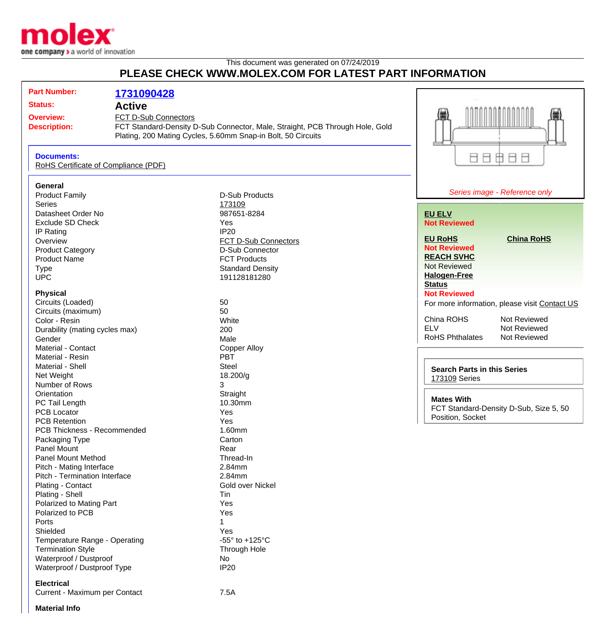

## This document was generated on 07/24/2019 **PLEASE CHECK WWW.MOLEX.COM FOR LATEST PART INFORMATION**

| <b>Part Number:</b>                                       | 1731090428           |                                                                              |                                               |
|-----------------------------------------------------------|----------------------|------------------------------------------------------------------------------|-----------------------------------------------|
| <b>Status:</b>                                            |                      |                                                                              |                                               |
| <b>Active</b>                                             |                      |                                                                              |                                               |
| <b>Overview:</b>                                          | FCT D-Sub Connectors |                                                                              |                                               |
| <b>Description:</b>                                       |                      | FCT Standard-Density D-Sub Connector, Male, Straight, PCB Through Hole, Gold |                                               |
|                                                           |                      | Plating, 200 Mating Cycles, 5.60mm Snap-in Bolt, 50 Circuits                 |                                               |
| <b>Documents:</b><br>RoHS Certificate of Compliance (PDF) |                      |                                                                              | 88888                                         |
|                                                           |                      |                                                                              |                                               |
| General                                                   |                      |                                                                              |                                               |
| <b>Product Family</b>                                     |                      | <b>D-Sub Products</b>                                                        | Series image - Reference only                 |
| <b>Series</b>                                             |                      | 173109                                                                       |                                               |
| Datasheet Order No                                        |                      | 987651-8284                                                                  | <b>EU ELV</b>                                 |
| <b>Exclude SD Check</b>                                   |                      | Yes                                                                          | <b>Not Reviewed</b>                           |
| IP Rating                                                 |                      | <b>IP20</b>                                                                  |                                               |
| Overview                                                  |                      | FCT D-Sub Connectors                                                         | <b>EU RoHS</b><br><b>China RoHS</b>           |
| <b>Product Category</b>                                   |                      | D-Sub Connector                                                              | <b>Not Reviewed</b>                           |
| <b>Product Name</b>                                       |                      | <b>FCT Products</b>                                                          | <b>REACH SVHC</b>                             |
|                                                           |                      |                                                                              | <b>Not Reviewed</b>                           |
| <b>Type</b>                                               |                      | <b>Standard Density</b>                                                      | <b>Halogen-Free</b>                           |
| <b>UPC</b>                                                |                      | 191128181280                                                                 | <b>Status</b>                                 |
| <b>Physical</b>                                           |                      |                                                                              | <b>Not Reviewed</b>                           |
| Circuits (Loaded)                                         |                      | 50                                                                           |                                               |
| Circuits (maximum)                                        |                      | 50                                                                           | For more information, please visit Contact US |
| Color - Resin                                             |                      | White                                                                        | China ROHS<br>Not Reviewed                    |
|                                                           |                      | 200                                                                          | <b>ELV</b><br>Not Reviewed                    |
| Durability (mating cycles max)<br>Gender                  |                      | Male                                                                         | <b>RoHS Phthalates</b><br>Not Reviewed        |
| Material - Contact                                        |                      |                                                                              |                                               |
|                                                           |                      | <b>Copper Alloy</b>                                                          |                                               |
| Material - Resin                                          |                      | <b>PBT</b>                                                                   |                                               |
| Material - Shell                                          |                      | <b>Steel</b>                                                                 | <b>Search Parts in this Series</b>            |
| Net Weight                                                |                      | 18.200/g                                                                     | <b>173109 Series</b>                          |
| Number of Rows                                            |                      | 3                                                                            |                                               |
| Orientation                                               |                      | Straight                                                                     | <b>Mates With</b>                             |
| PC Tail Length                                            |                      | 10.30mm                                                                      | FCT Standard-Density D-Sub, Size 5, 50        |
| <b>PCB Locator</b>                                        |                      | Yes                                                                          | Position, Socket                              |
| <b>PCB Retention</b>                                      |                      | Yes                                                                          |                                               |
| PCB Thickness - Recommended                               |                      | 1.60mm                                                                       |                                               |
| Packaging Type                                            |                      | Carton                                                                       |                                               |
| Panel Mount                                               |                      | Rear                                                                         |                                               |
| <b>Panel Mount Method</b>                                 |                      | Thread-In                                                                    |                                               |
| Pitch - Mating Interface                                  |                      | 2.84mm                                                                       |                                               |
| Pitch - Termination Interface                             |                      | 2.84mm                                                                       |                                               |
| Plating - Contact                                         |                      | Gold over Nickel                                                             |                                               |
| Plating - Shell                                           |                      | Tin                                                                          |                                               |
| Polarized to Mating Part                                  |                      | Yes                                                                          |                                               |
| Polarized to PCB                                          |                      | Yes                                                                          |                                               |
| Ports                                                     |                      | 1                                                                            |                                               |
| Shielded                                                  |                      | Yes                                                                          |                                               |
| Temperature Range - Operating                             |                      | -55 $\degree$ to +125 $\degree$ C                                            |                                               |
| <b>Termination Style</b>                                  |                      | Through Hole                                                                 |                                               |
| Waterproof / Dustproof                                    |                      | <b>No</b>                                                                    |                                               |
| Waterproof / Dustproof Type                               |                      | <b>IP20</b>                                                                  |                                               |
|                                                           |                      |                                                                              |                                               |
| <b>Electrical</b><br>Current - Maximum per Contact        |                      |                                                                              |                                               |
|                                                           |                      | 7.5A                                                                         |                                               |